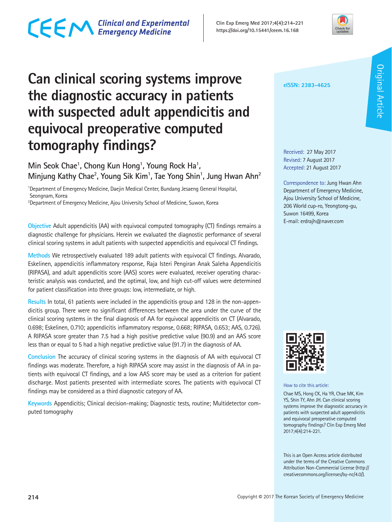## CECM Clinical and Experimental

**Clin Exp Emerg Med 2017;4(4):214-221 https://doi.org/10.15441/ceem.16.168**



## **Can clinical scoring systems improve the diagnostic accuracy in patients with suspected adult appendicitis and equivocal preoperative computed tomography findings?**

Min Seok Chae<sup>1</sup>, Chong Kun Hong<sup>1</sup>, Young Rock Ha<sup>1</sup>, **Minjung Kathy Chae2 , Young Sik Kim1 , Tae Yong Shin1 , Jung Hwan Ahn2**

<sup>1</sup>Department of Emergency Medicine, Daejin Medical Center, Bundang Jesaeng General Hospital, Seongnam, Korea

2 Department of Emergency Medicine, Ajou University School of Medicine, Suwon, Korea

**Objective** Adult appendicitis (AA) with equivocal computed tomography (CT) findings remains a diagnostic challenge for physicians. Herein we evaluated the diagnostic performance of several clinical scoring systems in adult patients with suspected appendicitis and equivocal CT findings.

**Methods** We retrospectively evaluated 189 adult patients with equivocal CT findings. Alvarado, Eskelinen, appendicitis inflammatory response, Raja Isteri Pengiran Anak Saleha Appendicitis (RIPASA), and adult appendicitis score (AAS) scores were evaluated, receiver operating characteristic analysis was conducted, and the optimal, low, and high cut-off values were determined for patient classification into three groups: low, intermediate, or high.

**Results** In total, 61 patients were included in the appendicitis group and 128 in the non-appendicitis group. There were no significant differences between the area under the curve of the clinical scoring systems in the final diagnosis of AA for equivocal appendicitis on CT (Alvarado, 0.698; Eskelinen, 0.710; appendicitis inflammatory response, 0.668; RIPASA, 0.653; AAS, 0.726). A RIPASA score greater than 7.5 had a high positive predictive value (90.9) and an AAS score less than or equal to 5 had a high negative predictive value (91.7) in the diagnosis of AA.

**Conclusion** The accuracy of clinical scoring systems in the diagnosis of AA with equivocal CT findings was moderate. Therefore, a high RIPASA score may assist in the diagnosis of AA in patients with equivocal CT findings, and a low AAS score may be used as a criterion for patient discharge. Most patients presented with intermediate scores. The patients with equivocal CT findings may be considered as a third diagnostic category of AA.

**Keywords** Appendicitis; Clinical decision-making; Diagnostic tests, routine; Multidetector computed tomography

**eISSN: 2383-4625**

Received: 27 May 2017 Revised: 7 August 2017 Accepted: 21 August 2017

Correspondence to: Jung Hwan Ahn Department of Emergency Medicine, Ajou University School of Medicine, 206 World cup-ro, Yeongtong-gu, Suwon 16499, Korea E-mail: erdrajh@naver.com



How to cite this article:

Chae MS, Hong CK, Ha YR, Chae MK, Kim YS, Shin TY, Ahn JH. Can clinical scoring systems improve the diagnostic accuracy in patients with suspected adult appendicitis and equivocal preoperative computed tomography findings? Clin Exp Emerg Med 2017;4(4):214-221.

This is an Open Access article distributed under the terms of the Creative Commons Attribution Non-Commercial License (http:// creativecommons.org/licenses/by-nc/4.0/).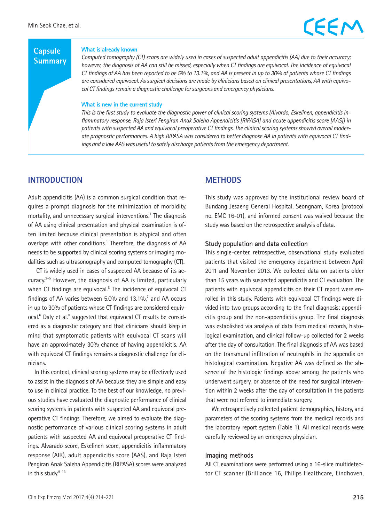## EEM

### **Capsule Summary**

#### **What is already known**

*Computed tomography (CT) scans are widely used in cases of suspected adult appendicitis (AA) due to their accuracy; however, the diagnosis of AA can still be missed, especially when CT findings are equivocal. The incidence of equivocal CT findings of AA has been reported to be 5% to 13.1%, and AA is present in up to 30% of patients whose CT findings are considered equivocal. As surgical decisions are made by clinicians based on clinical presentations, AA with equivocal CT findings remain a diagnostic challenge for surgeons and emergency physicians.*

#### **What is new in the current study**

*This is the first study to evaluate the diagnostic power of clinical scoring systems (Alvardo, Eskelinen, appendicitis inflammatory response, Raja Isteri Pengiran Anak Saleha Appendicitis [RIPASA] and acute appendicitis score [AAS]) in patients with suspected AA and equivocal preoperative CT findings. The clinical scoring systems showed overall moderate prognostic performances. A high RIPASA was considered to better diagnose AA in patients with equivocal CT findings and a low AAS was useful to safely discharge patients from the emergency department.*

### **INTRODUCTION**

Adult appendicitis (AA) is a common surgical condition that requires a prompt diagnosis for the minimization of morbidity, mortality, and unnecessary surgical interventions.<sup>1</sup> The diagnosis of AA using clinical presentation and physical examination is often limited because clinical presentation is atypical and often overlaps with other conditions.<sup>1</sup> Therefore, the diagnosis of AA needs to be supported by clinical scoring systems or imaging modalities such as ultrasonography and computed tomography (CT).

 CT is widely used in cases of suspected AA because of its accuracy.2-5 However, the diagnosis of AA is limited, particularly when CT findings are equivocal.<sup>6</sup> The incidence of equivocal CT findings of AA varies between  $5.0\%$  and  $13.1\%$ , and AA occurs in up to 30% of patients whose CT findings are considered equivocal.<sup>6</sup> Daly et al.<sup>8</sup> suggested that equivocal CT results be considered as a diagnostic category and that clinicians should keep in mind that symptomatic patients with equivocal CT scans will have an approximately 30% chance of having appendicitis. AA with equivocal CT findings remains a diagnostic challenge for clinicians.

In this context, clinical scoring systems may be effectively used to assist in the diagnosis of AA because they are simple and easy to use in clinical practice. To the best of our knowledge, no previous studies have evaluated the diagnostic performance of clinical scoring systems in patients with suspected AA and equivocal preoperative CT findings. Therefore, we aimed to evaluate the diagnostic performance of various clinical scoring systems in adult patients with suspected AA and equivocal preoperative CT findings. Alvarado score, Eskelinen score, appendicitis inflammatory response (AIR), adult appendicitis score (AAS), and Raja Isteri Pengiran Anak Saleha Appendicitis (RIPASA) scores were analyzed in this study. $9-13$ 

### **METHODS**

This study was approved by the institutional review board of Bundang Jesaeng General Hospital, Seongnam, Korea (protocol no. EMC 16-01), and informed consent was waived because the study was based on the retrospective analysis of data.

#### **Study population and data collection**

This single-center, retrospective, observational study evaluated patients that visited the emergency department between April 2011 and November 2013. We collected data on patients older than 15 years with suspected appendicitis and CT evaluation. The patients with equivocal appendicitis on their CT report were enrolled in this study. Patients with equivocal CT findings were divided into two groups according to the final diagnosis: appendicitis group and the non-appendicitis group. The final diagnosis was established via analysis of data from medical records, histological examination, and clinical follow-up collected for 2 weeks after the day of consultation. The final diagnosis of AA was based on the transmural infiltration of neutrophils in the appendix on histological examination. Negative AA was defined as the absence of the histologic findings above among the patients who underwent surgery, or absence of the need for surgical intervention within 2 weeks after the day of consultation in the patients that were not referred to immediate surgery.

We retrospectively collected patient demographics, history, and parameters of the scoring systems from the medical records and the laboratory report system (Table 1). All medical records were carefully reviewed by an emergency physician.

#### **Imaging methods**

All CT examinations were performed using a 16-slice multidetector CT scanner (Brilliance 16, Philips Healthcare, Eindhoven,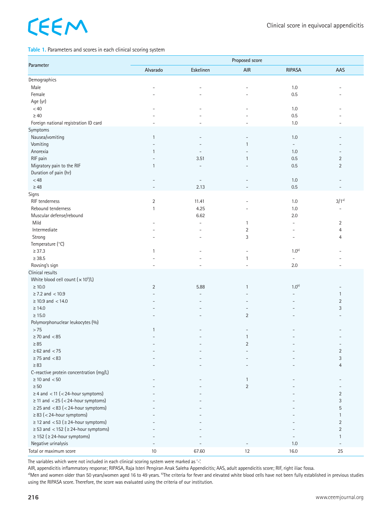# CEEM

#### **Table 1.** Parameters and scores in each clinical scoring system

|                                                                                |                | Proposed score           |                          |                          |                                |  |  |
|--------------------------------------------------------------------------------|----------------|--------------------------|--------------------------|--------------------------|--------------------------------|--|--|
| Parameter                                                                      | Alvarado       | Eskelinen                | AIR                      | <b>RIPASA</b>            | AAS                            |  |  |
| Demographics                                                                   |                |                          |                          |                          |                                |  |  |
| Male                                                                           |                |                          | ٠                        | 1.0                      |                                |  |  |
| Female                                                                         |                |                          | ۰                        | 0.5                      |                                |  |  |
| Age (yr)                                                                       |                |                          |                          |                          |                                |  |  |
| < 40                                                                           |                |                          |                          | 1.0                      |                                |  |  |
| $\geq 40$                                                                      |                |                          |                          | 0.5                      |                                |  |  |
| Foreign national registration ID card                                          |                |                          |                          | 1.0                      | $\overline{\phantom{a}}$       |  |  |
| Symptoms                                                                       |                |                          |                          |                          |                                |  |  |
| Nausea/vomiting                                                                | $\mathbf{1}$   |                          |                          | 1.0                      |                                |  |  |
| Vomiting                                                                       |                |                          | $\mathbf{1}$             | $\overline{\phantom{a}}$ |                                |  |  |
| Anorexia                                                                       | 1              |                          |                          | 1.0                      | $\overline{\phantom{a}}$       |  |  |
| RIF pain                                                                       | ۳              | 3.51                     | $\mathbf{1}$             | 0.5                      | 2                              |  |  |
| Migratory pain to the RIF                                                      | $\mathbf{1}$   | ۳                        |                          | 0.5                      | $\overline{2}$                 |  |  |
| Duration of pain (hr)                                                          |                |                          |                          |                          |                                |  |  |
| < 48                                                                           |                | $\overline{\phantom{a}}$ |                          | 1.0                      |                                |  |  |
| $\geq 48$                                                                      |                | 2.13                     |                          | 0.5                      |                                |  |  |
| Signs                                                                          |                |                          |                          |                          |                                |  |  |
| RIF tenderness                                                                 | $\overline{2}$ | 11.41                    |                          | 1.0                      | $3/1^{a}$                      |  |  |
| Rebound tenderness                                                             | $\mathbf{1}$   | 4.25                     |                          | 1.0                      |                                |  |  |
| Muscular defense/rebound                                                       |                | 6.62                     |                          | 2.0                      |                                |  |  |
| Mild                                                                           |                | $\blacksquare$           | 1                        | $\overline{\phantom{a}}$ | $\overline{2}$                 |  |  |
| Intermediate                                                                   |                |                          | 2                        |                          | $\overline{4}$                 |  |  |
| Strong                                                                         |                |                          | 3                        | $\overline{\phantom{a}}$ | 4                              |  |  |
| Temperature (°C)                                                               |                |                          |                          |                          |                                |  |  |
| $\geq 37.3$                                                                    | $\mathbf{1}$   |                          | ÷                        | $1.0^{b}$                |                                |  |  |
| $\geq$ 38.5                                                                    |                |                          | 1                        | $\overline{\phantom{a}}$ |                                |  |  |
| Rovsing's sign                                                                 |                |                          |                          | $2.0\,$                  | $\overline{\phantom{a}}$       |  |  |
| Clinical results                                                               |                |                          |                          |                          |                                |  |  |
| White blood cell count $(x 10^9/L)$                                            |                |                          |                          |                          |                                |  |  |
| $\geq 10.0$                                                                    | $\overline{2}$ | 5.88                     | $\mathbf{1}$             | $1.0^{b}$                |                                |  |  |
| $\ge$ 7.2 and $<$ 10.9                                                         |                |                          |                          |                          | $\mathbf{1}$                   |  |  |
| $\geq$ 10.9 and < 14.0                                                         |                |                          |                          |                          | $\overline{2}$                 |  |  |
| $\geq 14.0$                                                                    |                |                          |                          |                          | 3                              |  |  |
| $\geq 15.0$                                                                    |                |                          | $\overline{2}$           |                          |                                |  |  |
| Polymorphonuclear leukocytes (%)                                               |                |                          |                          |                          |                                |  |  |
| >75                                                                            | $\mathbf{1}$   |                          |                          |                          |                                |  |  |
| $\geq$ 70 and $< 85$                                                           |                |                          | $\mathbf{1}$             |                          |                                |  |  |
| $\geq 85$                                                                      |                |                          | $\overline{2}$           |                          |                                |  |  |
| $\geq 62$ and $< 75$                                                           |                |                          |                          |                          |                                |  |  |
| $\geq$ 75 and $\lt$ 83                                                         |                |                          |                          |                          | $^{2}$<br>3                    |  |  |
| $\geq 83$                                                                      |                |                          |                          |                          | $\overline{4}$                 |  |  |
| C-reactive protein concentration (mg/L)                                        |                |                          |                          |                          |                                |  |  |
| $\geq 10$ and $< 50$                                                           |                |                          | $\mathbf{1}$             |                          |                                |  |  |
| $\geq 50$                                                                      |                |                          | $\overline{2}$           |                          |                                |  |  |
| $\geq$ 4 and < 11 (< 24-hour symptoms)                                         |                |                          |                          |                          | $\overline{2}$                 |  |  |
| $\geq$ 11 and < 25 (< 24-hour symptoms)                                        |                |                          |                          |                          | 3                              |  |  |
| $\geq$ 25 and <83 (<24-hour symptoms)                                          |                |                          |                          |                          | 5                              |  |  |
|                                                                                |                |                          |                          |                          |                                |  |  |
| $\geq$ 83 (<24-hour symptoms)<br>$\geq$ 12 and < 53 ( $\geq$ 24-hour symptoms) |                |                          |                          |                          | $\mathbf{1}$<br>$\overline{2}$ |  |  |
|                                                                                |                |                          |                          |                          |                                |  |  |
| $\geq$ 53 and < 152 ( $\geq$ 24-hour symptoms)                                 |                |                          |                          |                          | $\overline{2}$                 |  |  |
| $\geq$ 152 ( $\geq$ 24-hour symptoms)                                          |                |                          |                          |                          | $\mathbf{1}$                   |  |  |
| Negative urinalysis                                                            |                |                          | $\overline{\phantom{a}}$ | 1.0                      | $\overline{\phantom{a}}$       |  |  |
| Total or maximum score                                                         | $10$           | 67.60                    | 12                       | 16.0                     | 25                             |  |  |

The variables which were not included in each clinical scoring system were marked as '-'.

AIR, appendicitis inflammatory response; RIPASA, Raja Isteri Pengiran Anak Saleha Appendicitis; AAS, adult appendicitis score; RIF, right iliac fossa.<br><sup>a)</sup>Men and women older than 50 years/women aged 16 to 49 years. <sup>b</sup>The using the RIPASA score. Therefore, the score was evaluated using the criteria of our institution.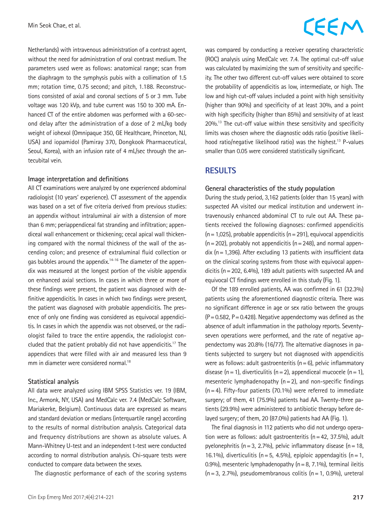Netherlands) with intravenous administration of a contrast agent, without the need for administration of oral contrast medium. The parameters used were as follows: anatomical range; scan from the diaphragm to the symphysis pubis with a collimation of 1.5 mm; rotation time, 0.75 second; and pitch, 1.188. Reconstructions consisted of axial and coronal sections of 5 or 3 mm. Tube voltage was 120 kVp, and tube current was 150 to 300 mA. Enhanced CT of the entire abdomen was performed with a 60-second delay after the administration of a dose of 2 mL/kg body weight of iohexol (Omnipaque 350, GE Healthcare, Princeton, NJ, USA) and iopamidol (Pamiray 370, Dongkook Pharmaceutical, Seoul, Korea), with an infusion rate of 4 mL/sec through the antecubital vein.

#### **Image interpretation and definitions**

All CT examinations were analyzed by one experienced abdominal radiologist (10 years' experience). CT assessment of the appendix was based on a set of five criteria derived from previous studies: an appendix without intraluminal air with a distension of more than 6 mm; periappendiceal fat stranding and infiltration; appendiceal wall enhancement or thickening; cecal apical wall thickening compared with the normal thickness of the wall of the ascending colon; and presence of extraluminal fluid collection or gas bubbles around the appendix.14-16 The diameter of the appendix was measured at the longest portion of the visible appendix on enhanced axial sections. In cases in which three or more of these findings were present, the patient was diagnosed with definitive appendicitis. In cases in which two findings were present, the patient was diagnosed with probable appendicitis. The presence of only one finding was considered as equivocal appendicitis. In cases in which the appendix was not observed, or the radiologist failed to trace the entire appendix, the radiologist concluded that the patient probably did not have appendicitis.<sup>17</sup> The appendices that were filled with air and measured less than 9 mm in diameter were considered normal.<sup>18</sup>

#### **Statistical analysis**

All data were analyzed using IBM SPSS Statistics ver. 19 (IBM, Inc., Armonk, NY, USA) and MedCalc ver. 7.4 (MedCalc Software, Mariakerke, Belgium). Continuous data are expressed as means and standard deviation or medians (interquartile range) according to the results of normal distribution analysis. Categorical data and frequency distributions are shown as absolute values. A Mann-Whitney U-test and an independent t-test were conducted according to normal distribution analysis. Chi-square tests were conducted to compare data between the sexes.

The diagnostic performance of each of the scoring systems

## CEEM

was compared by conducting a receiver operating characteristic (ROC) analysis using MedCalc ver. 7.4. The optimal cut-off value was calculated by maximizing the sum of sensitivity and specificity. The other two different cut-off values were obtained to score the probability of appendicitis as low, intermediate, or high. The low and high cut-off values included a point with high sensitivity (higher than 90%) and specificity of at least 30%, and a point with high specificity (higher than 85%) and sensitivity of at least 20%.13 The cut-off value within these sensitivity and specificity limits was chosen where the diagnostic odds ratio (positive likelihood ratio/negative likelihood ratio) was the highest.<sup>13</sup> P-values smaller than 0.05 were considered statistically significant.

### **RESULTS**

#### **General characteristics of the study population**

During the study period, 3,162 patients (older than 15 years) with suspected AA visited our medical institution and underwent intravenously enhanced abdominal CT to rule out AA. These patients received the following diagnoses: confirmed appendicitis  $(n=1,025)$ , probable appendicitis  $(n=291)$ , equivocal appendicitis  $(n=202)$ , probably not appendicitis  $(n=248)$ , and normal appendix ( $n=1,396$ ). After excluding 13 patients with insufficient data on the clinical scoring systems from those with equivocal appendicitis (n=202, 6.4%), 189 adult patients with suspected AA and equivocal CT findings were enrolled in this study (Fig. 1).

Of the 189 enrolled patients, AA was confirmed in 61 (32.3%) patients using the aforementioned diagnostic criteria. There was no significant difference in age or sex ratio between the groups  $(P=0.582, P=0.428)$ . Negative appendectomy was defined as the absence of adult inflammation in the pathology reports. Seventyseven operations were performed, and the rate of negative appendectomy was 20.8% (16/77). The alternative diagnoses in patients subjected to surgery but not diagnosed with appendicitis were as follows: adult gastroenteritis ( $n=6$ ), pelvic inflammatory disease (n = 1), diverticulitis (n = 2), appendiceal mucocele (n = 1), mesenteric lymphadenopathy  $(n=2)$ , and non-specific findings  $(n=4)$ . Fifty-four patients (70.1%) were referred to immediate surgery; of them, 41 (75.9%) patients had AA. Twenty-three patients (29.9%) were administered to antibiotic therapy before delayed surgery; of them, 20 (87.0%) patients had AA (Fig. 1).

The final diagnosis in 112 patients who did not undergo operation were as follows: adult gastroenteritis (n=42, 37.5%), adult pyelonephritis ( $n=3$ , 2.7%), pelvic inflammatory disease ( $n=18$ , 16.1%), diverticulitis ( $n=5$ , 4.5%), epiploic appendagitis ( $n=1$ , 0.9%), mesenteric lymphadenopathy ( $n=8$ , 7.1%), terminal ileitis  $(n=3, 2.7%)$ , pseudomembranous colitis  $(n=1, 0.9%)$ , ureteral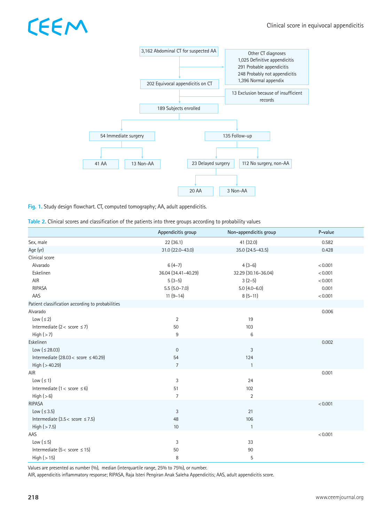# CEEM



**Fig. 1.** Study design flowchart. CT, computed tomography; AA, adult appendicitis.

| Table 2. Clinical scores and classification of the patients into three groups according to probability values |  |  |  |
|---------------------------------------------------------------------------------------------------------------|--|--|--|
|---------------------------------------------------------------------------------------------------------------|--|--|--|

|                                                   | Appendicitis group  | Non-appendicitis group | P-value |
|---------------------------------------------------|---------------------|------------------------|---------|
| Sex, male                                         | 22(36.1)            | 41 (32.0)              | 0.582   |
| Age (yr)                                          | 31.0 (22.0-43.0)    | 35.0 (24.5-43.5)       | 0.428   |
| Clinical score                                    |                     |                        |         |
| Alvarado                                          | $6(4-7)$            | $4(3-6)$               | < 0.001 |
| Eskelinen                                         | 36.04 (34.41-40.29) | 32.29 (30.16-36.04)    | < 0.001 |
| AIR                                               | $5(3-5)$            | $3(2-5)$               | < 0.001 |
| <b>RIPASA</b>                                     | $5.5(5.0 - 7.0)$    | $5.0(4.0 - 6.0)$       | 0.001   |
| AAS                                               | $11(9-14)$          | $8(5-11)$              | < 0.001 |
| Patient classification according to probabilities |                     |                        |         |
| Alvarado                                          |                     |                        | 0.006   |
| Low $(s 2)$                                       | 2                   | 19                     |         |
| Intermediate ( $2 <$ score $\leq 7$ )             | 50                  | 103                    |         |
| High $(>7)$                                       | $9\,$               | $6\,$                  |         |
| Eskelinen                                         |                     |                        | 0.002   |
| Low (≤ 28.03)                                     | $\mathbf 0$         | 3                      |         |
| Intermediate (28.03 < score $\leq$ 40.29)         | 54                  | 124                    |         |
| High $(>40.29)$                                   | $\overline{7}$      | $\mathbf{1}$           |         |
| <b>AIR</b>                                        |                     |                        | 0.001   |
| Low $(s 1)$                                       | 3                   | 24                     |         |
| Intermediate ( $1 <$ score $\leq 6$ )             | 51                  | 102                    |         |
| High (> 6)                                        | $\overline{7}$      | $\overline{2}$         |         |
| <b>RIPASA</b>                                     |                     |                        | < 0.001 |
| Low $( \leq 3.5)$                                 | $\sqrt{3}$          | 21                     |         |
| Intermediate $(3.5 <$ score $\leq 7.5$ )          | 48                  | 106                    |         |
| High $($ > 7.5)                                   | 10                  | $\overline{1}$         |         |
| AAS                                               |                     |                        | < 0.001 |
| Low $(s 5)$                                       | 3                   | 33                     |         |
| Intermediate ( $5 <$ score $\leq 15$ )            | 50                  | 90                     |         |
| High $($ > 15 $)$                                 | 8                   | 5                      |         |

Values are presented as number (%), median (interquartile range, 25% to 75%), or number.

AIR, appendicitis inflammatory response; RIPASA, Raja Isteri Pengiran Anak Saleha Appendicitis; AAS, adult appendicitis score.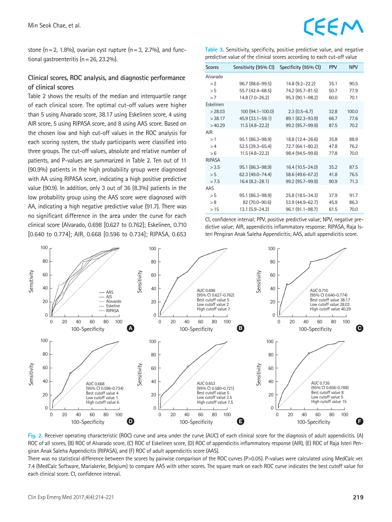stone (n = 2, 1.8%), ovarian cyst rupture (n = 3, 2.7%), and functional gastroenteritis (n=26, 23.2%).

### **Clinical scores, ROC analysis, and diagnostic performance of clinical scores**

Table 2 shows the results of the median and interquartile range of each clinical score. The optimal cut-off values were higher than 5 using Alvarado score, 38.17 using Eskelinen score, 4 using AIR score, 5 using RIPASA score, and 8 using AAS score. Based on the chosen low and high cut-off values in the ROC analysis for each scoring system, the study participants were classified into three groups. The cut-off values, absolute and relative number of patients, and P-values are summarized in Table 2. Ten out of 11 (90.9%) patients in the high probability group were diagnosed with AA using RIPASA score, indicating a high positive predictive value (90.9). In addition, only 3 out of 36 (8.3%) patients in the low probability group using the AAS score were diagnosed with AA, indicating a high negative predictive value (91.7). There was no significant difference in the area under the curve for each clinical score (Alvarado, 0.698 [0.627 to 0.762]; Eskelinen, 0.710 [0.640 to 0.774]; AIR, 0.668 [0.596 to 0.734]; RIPASA, 0.653

**Table 3.** Sensitivity, specificity, positive predictive value, and negative predictive value of the clinical scores according to each cut-off value

| <b>Scores</b> | Sensitivity (95% CI) | Specificity (95% CI) | <b>PPV</b> | <b>NPV</b> |
|---------------|----------------------|----------------------|------------|------------|
| Alvarado      |                      |                      |            |            |
| >2            | 96.7 (88.6–99.5)     | $14.8$ (9.2-22.2)    | 35.1       | 90.5       |
| > 5           | 55.7 (42.4-68.5)     | 74.2 (65.7-81.5)     | 50.7       | 77.9       |
| >7            | 14.8 (7.0-26.2)      | 95.3 (90.1-98.2)     | 60.0       | 70.1       |
| Eskelinen     |                      |                      |            |            |
| >28.03        | 100 (94.1-100.0)     | $2.3(0.5-6.7)$       | 32.8       | 100.0      |
| >38.17        | 45.9 (33.1-59.1)     | 89.1 (82.3-93.9)     | 66.7       | 77.6       |
| >40.29        | $11.5(4.8-22.2)$     | 99.2 (95.7-99.9)     | 87.5       | 70.2       |
| AIR           |                      |                      |            |            |
| >1            | 95.1 (86.3-98.9)     | 18.8 (12.4-26.6)     | 35.8       | 88.9       |
| >4            | 52.5 (39.3-65.4)     | 72.7 (64.1-80.2)     | 47.8       | 76.2       |
| > 6           | $11.5(4.8-22.2)$     | 98.4 (94.5-99.8)     | 77.8       | 70.0       |
| <b>RIPASA</b> |                      |                      |            |            |
| > 3.5         | 95.1 (86.3-98.9)     | 16.4 (10.5-24.0)     | 35.2       | 87.5       |
| > 5           | 62.3 (49.0-74.4)     | 58.6 (49.6-67.2)     | 41.8       | 76.5       |
| >7.5          | $16.4(8.2-28.1)$     | 99.2 (95.7-99.9)     | 90.9       | 71.3       |
| AAS           |                      |                      |            |            |
| > 5           | 95.1 (86.3-98.9)     | 25.8 (18.5-34.3)     | 37.9       | 91.7       |
| > 8           | 82 (70.0-90.6)       | 53.9 (44.9-62.7)     | 45.9       | 86.3       |
| >15           | 13.1 (5.9-24.2)      | 96.1 (91.1-98.7)     | 61.5       | 70.0       |

CI, confidence interval; PPV, positive predictive value; NPV, negative predictive value; AIR, appendicitis inflammatory response; RIPASA, Raja Isteri Pengiran Anak Saleha Appendicitis; AAS, adult appendicitis score.





There was no statistical difference between the scores by pairwise comparison of the ROC curves (P>0.05). P-values were calculated using MedCalc ver. 7.4 (MedCalc Software, Mariakerke, Belgium) to compare AAS with other scores. The square mark on each ROC curve indicates the best cutoff value for each clinical score. CI, confidence interval.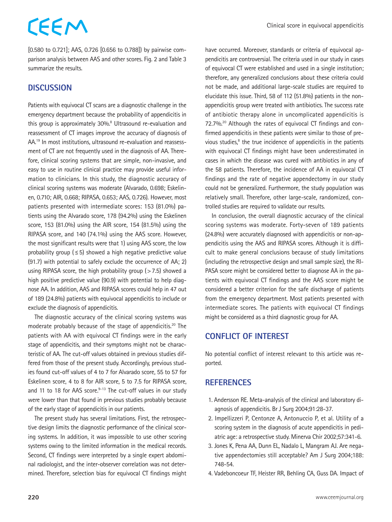## CEEM

[0.580 to 0.721]; AAS, 0.726 [0.656 to 0.788]) by pairwise comparison analysis between AAS and other scores. Fig. 2 and Table 3 summarize the results.

## **DISCUSSION**

Patients with equivocal CT scans are a diagnostic challenge in the emergency department because the probability of appendicitis in this group is approximately 30%.<sup>8</sup> Ultrasound re-evaluation and reassessment of CT images improve the accuracy of diagnosis of AA.19 In most institutions, ultrasound re-evaluation and reassessment of CT are not frequently used in the diagnosis of AA. Therefore, clinical scoring systems that are simple, non-invasive, and easy to use in routine clinical practice may provide useful information to clinicians. In this study, the diagnostic accuracy of clinical scoring systems was moderate (Alvarado, 0.698; Eskelinen, 0.710; AIR, 0.668; RIPASA, 0.653; AAS, 0.726). However, most patients presented with intermediate scores: 153 (81.0%) patients using the Alvarado score, 178 (94.2%) using the Eskelinen score, 153 (81.0%) using the AIR score, 154 (81.5%) using the RIPASA score, and 140 (74.1%) using the AAS score. However, the most significant results were that 1) using AAS score, the low probability group ( $\leq$  5) showed a high negative predictive value (91.7) with potential to safely exclude the occurrence of AA; 2) using RIPASA score, the high probability group  $(>7.5)$  showed a high positive predictive value (90.9) with potential to help diagnose AA. In addition, AAS and RIPASA scores could help in 47 out of 189 (24.8%) patients with equivocal appendicitis to include or exclude the diagnosis of appendicitis.

The diagnostic accuracy of the clinical scoring systems was moderate probably because of the stage of appendicitis.<sup>20</sup> The patients with AA with equivocal CT findings were in the early stage of appendicitis, and their symptoms might not be characteristic of AA. The cut-off values obtained in previous studies differed from those of the present study. Accordingly, previous studies found cut-off values of 4 to 7 for Alvarado score, 55 to 57 for Eskelinen score, 4 to 8 for AIR score, 5 to 7.5 for RIPASA score, and 11 to 18 for AAS score. $9-13$  The cut-off values in our study were lower than that found in previous studies probably because of the early stage of appendicitis in our patients.

The present study has several limitations. First, the retrospective design limits the diagnostic performance of the clinical scoring systems. In addition, it was impossible to use other scoring systems owing to the limited information in the medical records. Second, CT findings were interpreted by a single expert abdominal radiologist, and the inter-observer correlation was not determined. Therefore, selection bias for equivocal CT findings might have occurred. Moreover, standards or criteria of equivocal appendicitis are controversial. The criteria used in our study in cases of equivocal CT were established and used in a single institution; therefore, any generalized conclusions about these criteria could not be made, and additional large-scale studies are required to elucidate this issue. Third, 58 of 112 (51.8%) patients in the nonappendicitis group were treated with antibiotics. The success rate of antibiotic therapy alone in uncomplicated appendicitis is 72.7%.<sup>20</sup> Although the rates of equivocal CT findings and confirmed appendicitis in these patients were similar to those of previous studies, $8$  the true incidence of appendicitis in the patients with equivocal CT findings might have been underestimated in cases in which the disease was cured with antibiotics in any of the 58 patients. Therefore, the incidence of AA in equivocal CT findings and the rate of negative appendectomy in our study could not be generalized. Furthermore, the study population was relatively small. Therefore, other large-scale, randomized, controlled studies are required to validate our results.

In conclusion, the overall diagnostic accuracy of the clinical scoring systems was moderate. Forty-seven of 189 patients (24.8%) were accurately diagnosed with appendicitis or non-appendicitis using the AAS and RIPASA scores. Although it is difficult to make general conclusions because of study limitations (including the retrospective design and small sample size), the RI-PASA score might be considered better to diagnose AA in the patients with equivocal CT findings and the AAS score might be considered a better criterion for the safe discharge of patients from the emergency department. Most patients presented with intermediate scores. The patients with equivocal CT findings might be considered as a third diagnostic group for AA.

## **CONFLICT OF INTEREST**

No potential conflict of interest relevant to this article was reported.

## **REFERENCES**

- 1. Andersson RE. Meta-analysis of the clinical and laboratory diagnosis of appendicitis. Br J Surg 2004;91:28-37.
- 2. Impellizzeri P, Centonze A, Antonuccio P, et al. Utility of a scoring system in the diagnosis of acute appendicitis in pediatric age: a retrospective study. Minerva Chir 2002;57:341-6.
- 3. Jones K, Pena AA, Dunn EL, Nadalo L, Mangram AJ. Are negative appendectomies still acceptable? Am J Surg 2004;188: 748-54.
- 4. Vadeboncoeur TF, Heister RR, Behling CA, Guss DA. Impact of